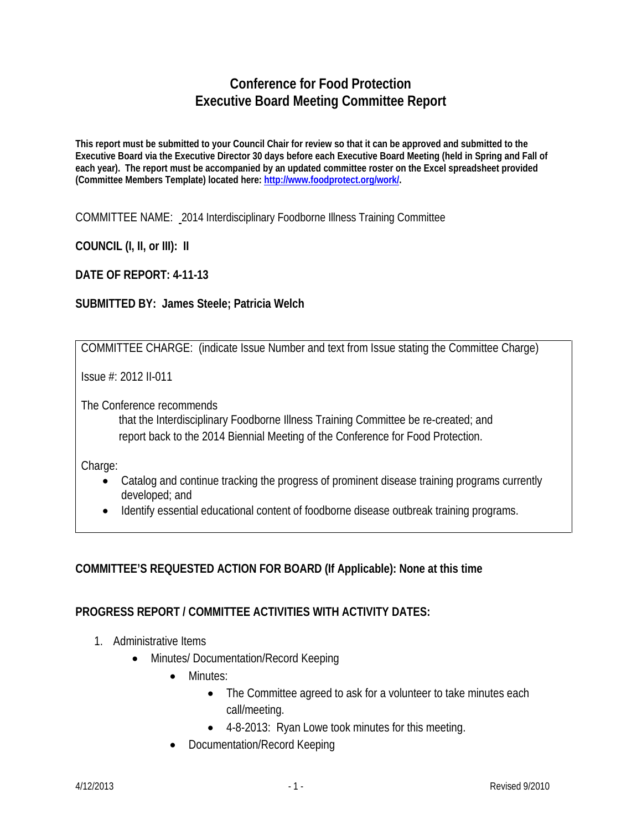# **Conference for Food Protection Executive Board Meeting Committee Report**

**This report must be submitted to your Council Chair for review so that it can be approved and submitted to the Executive Board via the Executive Director 30 days before each Executive Board Meeting (held in Spring and Fall of each year). The report must be accompanied by an updated committee roster on the Excel spreadsheet provided (Committee Members Template) located here: [http://www.foodprotect.org/work/.](http://www.foodprotect.org/work/)**

COMMITTEE NAME: 2014 Interdisciplinary Foodborne Illness Training Committee

**COUNCIL (I, II, or III): II**

**DATE OF REPORT: 4-11-13**

### **SUBMITTED BY: James Steele; Patricia Welch**

COMMITTEE CHARGE: (indicate Issue Number and text from Issue stating the Committee Charge)

Issue #: 2012 II-011

The Conference recommends

that the Interdisciplinary Foodborne Illness Training Committee be re-created; and report back to the 2014 Biennial Meeting of the Conference for Food Protection.

Charge:

- Catalog and continue tracking the progress of prominent disease training programs currently developed; and
- Identify essential educational content of foodborne disease outbreak training programs.

## **COMMITTEE'S REQUESTED ACTION FOR BOARD (If Applicable): None at this time**

### **PROGRESS REPORT / COMMITTEE ACTIVITIES WITH ACTIVITY DATES:**

- 1. Administrative Items
	- Minutes/ Documentation/Record Keeping
		- Minutes:
			- The Committee agreed to ask for a volunteer to take minutes each call/meeting.
			- 4-8-2013: Ryan Lowe took minutes for this meeting.
		- Documentation/Record Keeping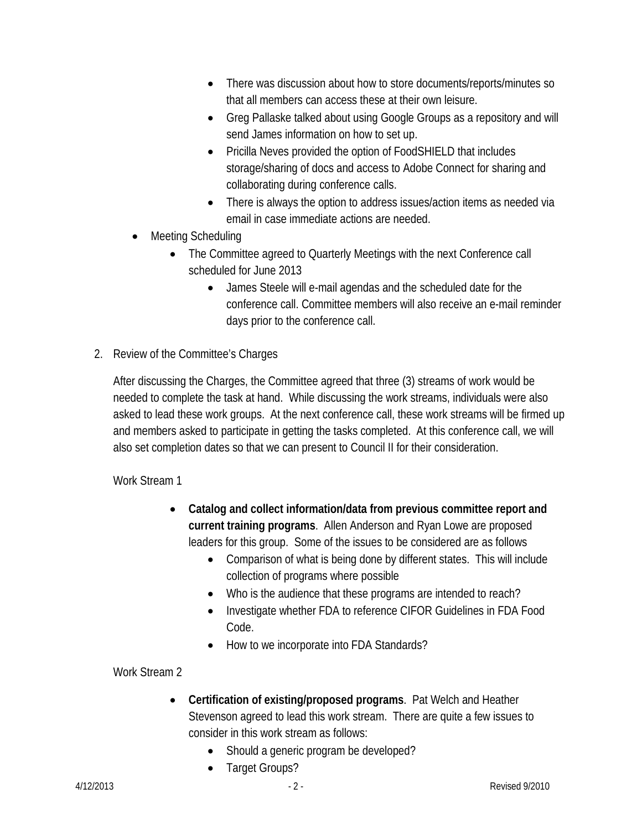- There was discussion about how to store documents/reports/minutes so that all members can access these at their own leisure.
- Greg Pallaske talked about using Google Groups as a repository and will send James information on how to set up.
- Pricilla Neves provided the option of FoodSHIELD that includes storage/sharing of docs and access to Adobe Connect for sharing and collaborating during conference calls.
- There is always the option to address issues/action items as needed via email in case immediate actions are needed.
- Meeting Scheduling
	- The Committee agreed to Quarterly Meetings with the next Conference call scheduled for June 2013
		- James Steele will e-mail agendas and the scheduled date for the conference call. Committee members will also receive an e-mail reminder days prior to the conference call.
- 2. Review of the Committee's Charges

After discussing the Charges, the Committee agreed that three (3) streams of work would be needed to complete the task at hand. While discussing the work streams, individuals were also asked to lead these work groups. At the next conference call, these work streams will be firmed up and members asked to participate in getting the tasks completed. At this conference call, we will also set completion dates so that we can present to Council II for their consideration.

Work Stream 1

- **Catalog and collect information/data from previous committee report and current training programs**. Allen Anderson and Ryan Lowe are proposed leaders for this group. Some of the issues to be considered are as follows
	- Comparison of what is being done by different states. This will include collection of programs where possible
	- Who is the audience that these programs are intended to reach?
	- Investigate whether FDA to reference CIFOR Guidelines in FDA Food Code.
	- How to we incorporate into FDA Standards?

Work Stream 2

- **Certification of existing/proposed programs**. Pat Welch and Heather Stevenson agreed to lead this work stream. There are quite a few issues to consider in this work stream as follows:
	- Should a generic program be developed?
	- Target Groups?